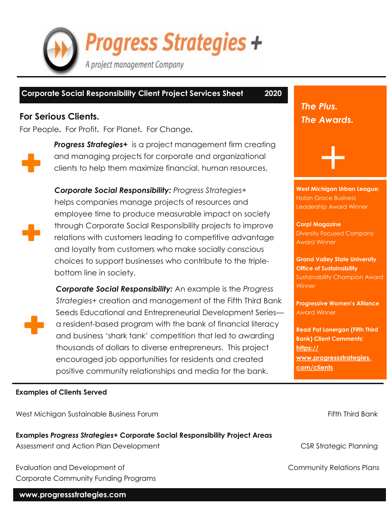**Progress Strategies +** A project management Company

### **Corporate Social Responsibility Client Project Services Sheet 2020**

## **For Serious Clients.**

For People**.** For Profit**.** For Planet**.** For Change**.**



**Progress Strategies+** is a project management firm creating and managing projects for corporate and organizational clients to help them maximize financial, human resources,



*Corporate Social Responsibility: Progress Strategies+*  helps companies manage projects of resources and employee time to produce measurable impact on society through Corporate Social Responsibility projects to improve relations with customers leading to competitive advantage and loyalty from customers who make socially conscious choices to support businesses who contribute to the triplebottom line in society.



*Corporate Social Responsibility:* An example is the *Progress Strategies+* creation and management of the Fifth Third Bank Seeds Educational and Entrepreneurial Development Series a resident-based program with the bank of financial literacy and business 'shark tank' competition that led to awarding thousands of dollars to diverse entrepreneurs. This project encouraged job opportunities for residents and created positive community relationships and media for the bank.

*The Plus. The Awards.*

**West Michigan Urban League:** Nolan Groce Business Leadership Award Winner

+

**Corp! Magazine** Diversity Focused Company Award Winner

**Grand Valley State University Office of Sustainability** Sustainability Champion Award **Winner** 

**Progressive Women's Alliance** Award Winner

**Read Pat Lonergan (Fifth Third Bank) Client Comments: [https://](https://www.progressstrategies.com/clients) [www.progressstrategies.](https://www.progressstrategies.com/clients) [com/clients](https://www.progressstrategies.com/clients)**

#### **Examples of Clients Served**

West Michigan Sustainable Business Forum Fifth Third Bank

**Examples** *Progress Strategies+* **Corporate Social Responsibility Project Areas** Assessment and Action Plan Development CSR Strategic Planning

Evaluation and Development of Community Relations Plans Corporate Community Funding Programs

#### **www.progressstrategies.com**